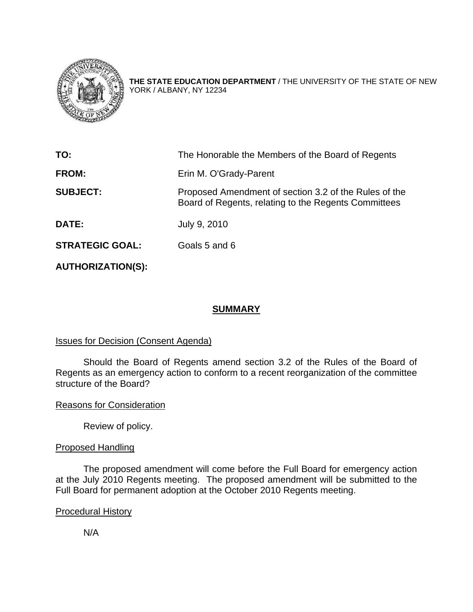

**THE STATE EDUCATION DEPARTMENT** / THE UNIVERSITY OF THE STATE OF NEW YORK / ALBANY, NY 12234

| TO:                    | The Honorable the Members of the Board of Regents                                                             |
|------------------------|---------------------------------------------------------------------------------------------------------------|
| <b>FROM:</b>           | Erin M. O'Grady-Parent                                                                                        |
| <b>SUBJECT:</b>        | Proposed Amendment of section 3.2 of the Rules of the<br>Board of Regents, relating to the Regents Committees |
| <b>DATE:</b>           | July 9, 2010                                                                                                  |
| <b>STRATEGIC GOAL:</b> | Goals 5 and 6                                                                                                 |

**AUTHORIZATION(S):** 

# **SUMMARY**

# Issues for Decision (Consent Agenda)

 Should the Board of Regents amend section 3.2 of the Rules of the Board of Regents as an emergency action to conform to a recent reorganization of the committee structure of the Board?

# Reasons for Consideration

Review of policy.

# Proposed Handling

The proposed amendment will come before the Full Board for emergency action at the July 2010 Regents meeting. The proposed amendment will be submitted to the Full Board for permanent adoption at the October 2010 Regents meeting.

# Procedural History

N/A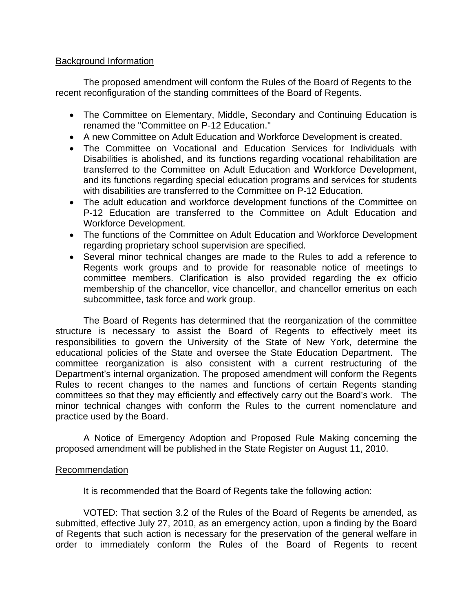### Background Information

 The proposed amendment will conform the Rules of the Board of Regents to the recent reconfiguration of the standing committees of the Board of Regents.

- The Committee on Elementary, Middle, Secondary and Continuing Education is renamed the "Committee on P-12 Education."
- A new Committee on Adult Education and Workforce Development is created.
- The Committee on Vocational and Education Services for Individuals with Disabilities is abolished, and its functions regarding vocational rehabilitation are transferred to the Committee on Adult Education and Workforce Development, and its functions regarding special education programs and services for students with disabilities are transferred to the Committee on P-12 Education.
- The adult education and workforce development functions of the Committee on P-12 Education are transferred to the Committee on Adult Education and Workforce Development.
- The functions of the Committee on Adult Education and Workforce Development regarding proprietary school supervision are specified.
- Several minor technical changes are made to the Rules to add a reference to Regents work groups and to provide for reasonable notice of meetings to committee members. Clarification is also provided regarding the ex officio membership of the chancellor, vice chancellor, and chancellor emeritus on each subcommittee, task force and work group.

The Board of Regents has determined that the reorganization of the committee structure is necessary to assist the Board of Regents to effectively meet its responsibilities to govern the University of the State of New York, determine the educational policies of the State and oversee the State Education Department. The committee reorganization is also consistent with a current restructuring of the Department's internal organization. The proposed amendment will conform the Regents Rules to recent changes to the names and functions of certain Regents standing committees so that they may efficiently and effectively carry out the Board's work. The minor technical changes with conform the Rules to the current nomenclature and practice used by the Board.

A Notice of Emergency Adoption and Proposed Rule Making concerning the proposed amendment will be published in the State Register on August 11, 2010.

# Recommendation

It is recommended that the Board of Regents take the following action:

 VOTED: That section 3.2 of the Rules of the Board of Regents be amended, as submitted, effective July 27, 2010, as an emergency action, upon a finding by the Board of Regents that such action is necessary for the preservation of the general welfare in order to immediately conform the Rules of the Board of Regents to recent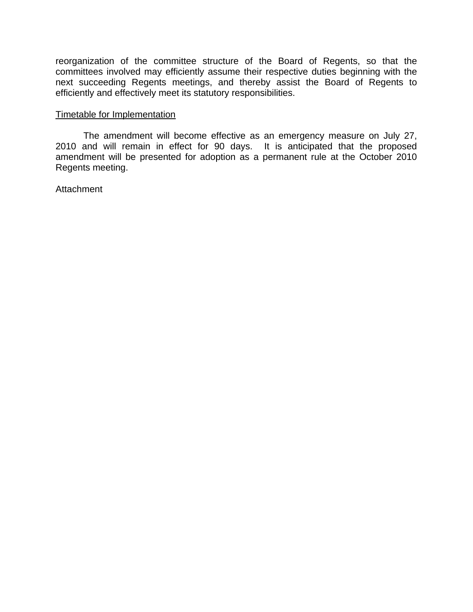reorganization of the committee structure of the Board of Regents, so that the committees involved may efficiently assume their respective duties beginning with the next succeeding Regents meetings, and thereby assist the Board of Regents to efficiently and effectively meet its statutory responsibilities.

#### Timetable for Implementation

 The amendment will become effective as an emergency measure on July 27, 2010 and will remain in effect for 90 days. It is anticipated that the proposed amendment will be presented for adoption as a permanent rule at the October 2010 Regents meeting.

#### **Attachment**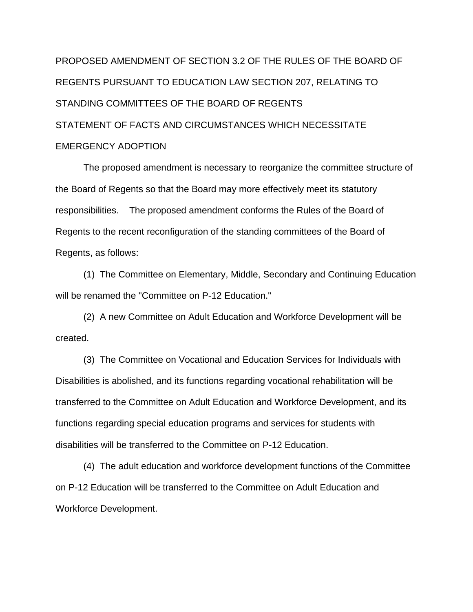PROPOSED AMENDMENT OF SECTION 3.2 OF THE RULES OF THE BOARD OF REGENTS PURSUANT TO EDUCATION LAW SECTION 207, RELATING TO STANDING COMMITTEES OF THE BOARD OF REGENTS STATEMENT OF FACTS AND CIRCUMSTANCES WHICH NECESSITATE EMERGENCY ADOPTION

 The proposed amendment is necessary to reorganize the committee structure of the Board of Regents so that the Board may more effectively meet its statutory responsibilities. The proposed amendment conforms the Rules of the Board of Regents to the recent reconfiguration of the standing committees of the Board of Regents, as follows:

 (1) The Committee on Elementary, Middle, Secondary and Continuing Education will be renamed the "Committee on P-12 Education."

 (2) A new Committee on Adult Education and Workforce Development will be created.

 (3) The Committee on Vocational and Education Services for Individuals with Disabilities is abolished, and its functions regarding vocational rehabilitation will be transferred to the Committee on Adult Education and Workforce Development, and its functions regarding special education programs and services for students with disabilities will be transferred to the Committee on P-12 Education.

 (4) The adult education and workforce development functions of the Committee on P-12 Education will be transferred to the Committee on Adult Education and Workforce Development.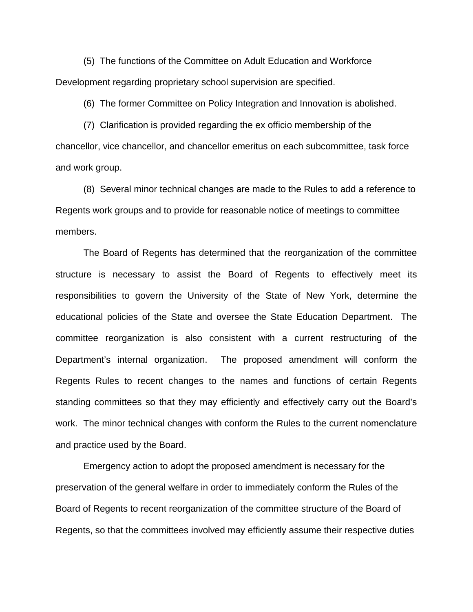(5) The functions of the Committee on Adult Education and Workforce Development regarding proprietary school supervision are specified.

(6) The former Committee on Policy Integration and Innovation is abolished.

 (7) Clarification is provided regarding the ex officio membership of the chancellor, vice chancellor, and chancellor emeritus on each subcommittee, task force and work group.

 (8) Several minor technical changes are made to the Rules to add a reference to Regents work groups and to provide for reasonable notice of meetings to committee members.

The Board of Regents has determined that the reorganization of the committee structure is necessary to assist the Board of Regents to effectively meet its responsibilities to govern the University of the State of New York, determine the educational policies of the State and oversee the State Education Department. The committee reorganization is also consistent with a current restructuring of the Department's internal organization. The proposed amendment will conform the Regents Rules to recent changes to the names and functions of certain Regents standing committees so that they may efficiently and effectively carry out the Board's work. The minor technical changes with conform the Rules to the current nomenclature and practice used by the Board.

 Emergency action to adopt the proposed amendment is necessary for the preservation of the general welfare in order to immediately conform the Rules of the Board of Regents to recent reorganization of the committee structure of the Board of Regents, so that the committees involved may efficiently assume their respective duties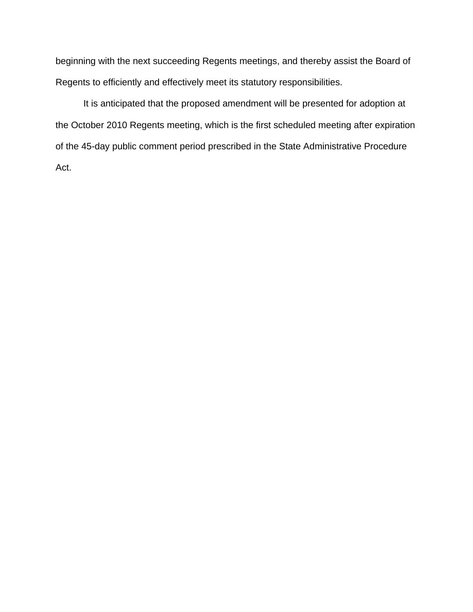beginning with the next succeeding Regents meetings, and thereby assist the Board of Regents to efficiently and effectively meet its statutory responsibilities.

 It is anticipated that the proposed amendment will be presented for adoption at the October 2010 Regents meeting, which is the first scheduled meeting after expiration of the 45-day public comment period prescribed in the State Administrative Procedure Act.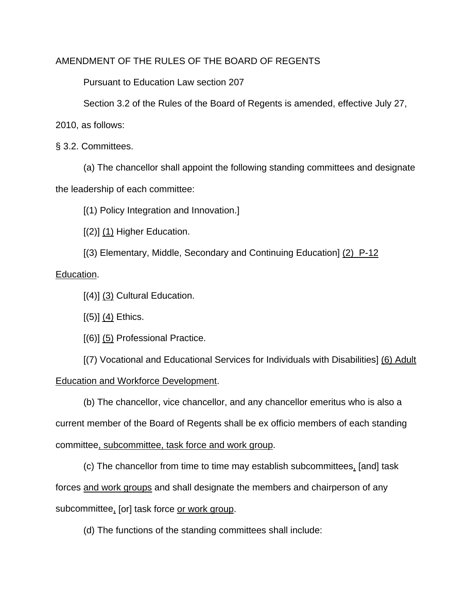### AMENDMENT OF THE RULES OF THE BOARD OF REGENTS

Pursuant to Education Law section 207

Section 3.2 of the Rules of the Board of Regents is amended, effective July 27,

2010, as follows:

§ 3.2. Committees.

 (a) The chancellor shall appoint the following standing committees and designate the leadership of each committee:

[(1) Policy Integration and Innovation.]

 $[(2)]$   $(1)$  Higher Education.

[(3) Elementary, Middle, Secondary and Continuing Education] (2) P-12

Education.

 $[(4)]$   $(3)$  Cultural Education.

 $[(5)]$   $(4)$  Ethics.

[(6)] (5) Professional Practice.

 [(7) Vocational and Educational Services for Individuals with Disabilities] (6) Adult Education and Workforce Development.

 (b) The chancellor, vice chancellor, and any chancellor emeritus who is also a current member of the Board of Regents shall be ex officio members of each standing committee, subcommittee, task force and work group.

 (c) The chancellor from time to time may establish subcommittees, [and] task forces and work groups and shall designate the members and chairperson of any subcommittee, [or] task force or work group.

(d) The functions of the standing committees shall include: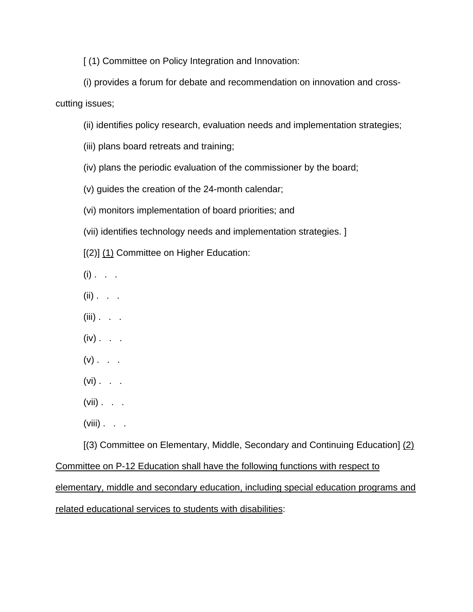[ (1) Committee on Policy Integration and Innovation:

 (i) provides a forum for debate and recommendation on innovation and crosscutting issues;

(ii) identifies policy research, evaluation needs and implementation strategies;

(iii) plans board retreats and training;

(iv) plans the periodic evaluation of the commissioner by the board;

(v) guides the creation of the 24-month calendar;

(vi) monitors implementation of board priorities; and

(vii) identifies technology needs and implementation strategies. ]

[(2)] (1) Committee on Higher Education:

- $(i)$  . . .
- $(ii)$  . . .
- $(iii)$  . . .
- $(iv)$  . . .
- $(v)$  . . .
- $(vi)$  . . .
- $(vii)$  . . .
- $(viii)$  . . .

 [(3) Committee on Elementary, Middle, Secondary and Continuing Education] (2) Committee on P-12 Education shall have the following functions with respect to elementary, middle and secondary education, including special education programs and

related educational services to students with disabilities: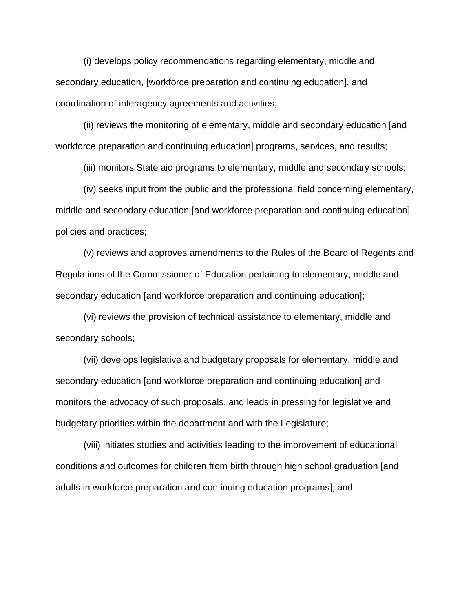(i) develops policy recommendations regarding elementary, middle and secondary education, [workforce preparation and continuing education], and coordination of interagency agreements and activities;

 (ii) reviews the monitoring of elementary, middle and secondary education [and workforce preparation and continuing education] programs, services, and results;

(iii) monitors State aid programs to elementary, middle and secondary schools;

 (iv) seeks input from the public and the professional field concerning elementary, middle and secondary education [and workforce preparation and continuing education] policies and practices;

 (v) reviews and approves amendments to the Rules of the Board of Regents and Regulations of the Commissioner of Education pertaining to elementary, middle and secondary education [and workforce preparation and continuing education];

 (vi) reviews the provision of technical assistance to elementary, middle and secondary schools;

 (vii) develops legislative and budgetary proposals for elementary, middle and secondary education [and workforce preparation and continuing education] and monitors the advocacy of such proposals, and leads in pressing for legislative and budgetary priorities within the department and with the Legislature;

 (viii) initiates studies and activities leading to the improvement of educational conditions and outcomes for children from birth through high school graduation [and adults in workforce preparation and continuing education programs]; and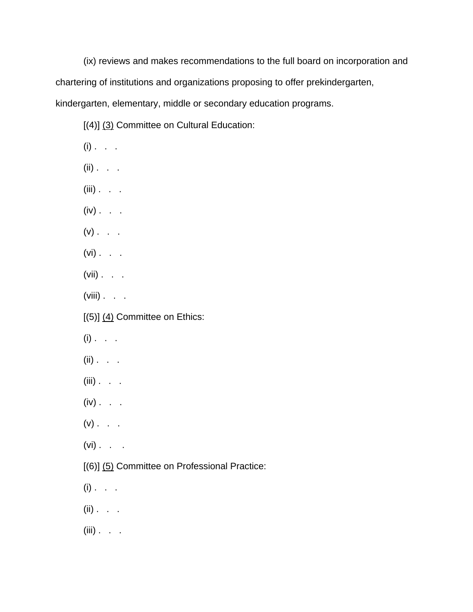(ix) reviews and makes recommendations to the full board on incorporation and chartering of institutions and organizations proposing to offer prekindergarten, kindergarten, elementary, middle or secondary education programs.

[(4)] (3) Committee on Cultural Education:

 $(i)$  . . .  $(ii)$  . . .  $(iii)$  . .  $(iv)$  . . .  $(v)$  . . .  $(vi)$  . . .  $(vii)$  . . .  $(viii)$  . . .  $[(5)]$   $(4)$  Committee on Ethics:  $(i)$  . . . (ii) . . .  $(iii)$  . . .  $(iv)$  . .  $(v)$  . . .  $(vi)$  . . . [(6)] (5) Committee on Professional Practice:  $(i)$  . . .  $(ii)$  . . .  $(iii)$  . . .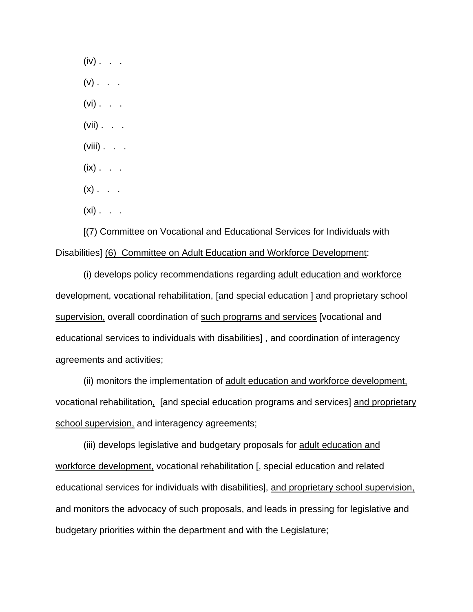$(iv)$  . . .  $(v)$  . . .  $(vi)$  . . .  $(vii)$  . . .  $(viii)$  . . .  $(ix)$  . . .  $(x)$  . . .  $(xi)$ . . .

 [(7) Committee on Vocational and Educational Services for Individuals with Disabilities] (6) Committee on Adult Education and Workforce Development:

 (i) develops policy recommendations regarding adult education and workforce development, vocational rehabilitation, [and special education ] and proprietary school supervision, overall coordination of such programs and services [vocational and educational services to individuals with disabilities] , and coordination of interagency agreements and activities;

 (ii) monitors the implementation of adult education and workforce development, vocational rehabilitation, [and special education programs and services] and proprietary school supervision, and interagency agreements;

 (iii) develops legislative and budgetary proposals for adult education and workforce development, vocational rehabilitation [, special education and related educational services for individuals with disabilities], and proprietary school supervision, and monitors the advocacy of such proposals, and leads in pressing for legislative and budgetary priorities within the department and with the Legislature;